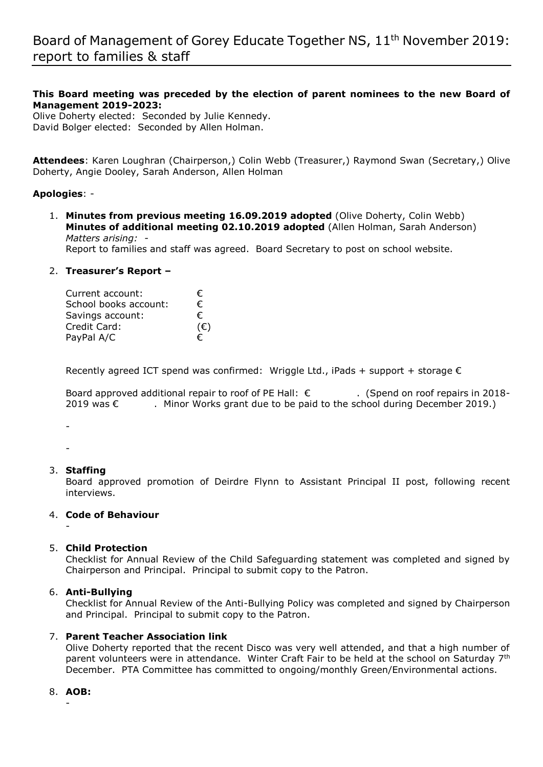## **This Board meeting was preceded by the election of parent nominees to the new Board of Management 2019-2023:**

Olive Doherty elected: Seconded by Julie Kennedy. David Bolger elected: Seconded by Allen Holman.

**Attendees**: Karen Loughran (Chairperson,) Colin Webb (Treasurer,) Raymond Swan (Secretary,) Olive Doherty, Angie Dooley, Sarah Anderson, Allen Holman

### **Apologies**: -

1. **Minutes from previous meeting 16.09.2019 adopted** (Olive Doherty, Colin Webb) **Minutes of additional meeting 02.10.2019 adopted** (Allen Holman, Sarah Anderson) *Matters arising: -* 

Report to families and staff was agreed. Board Secretary to post on school website.

### 2. **Treasurer's Report –**

| Current account:      | €            |
|-----------------------|--------------|
| School books account: | €            |
| Savings account:      | €            |
| Credit Card:          | $(\epsilon)$ |
| PayPal A/C            | €            |

Recently agreed ICT spend was confirmed: Wriggle Ltd., iPads + support + storage  $\epsilon$ 

Board approved additional repair to roof of PE Hall: € . (Spend on roof repairs in 2018-2019 was  $€$  . Minor Works grant due to be paid to the school during December 2019.)

-

-

-

### 3. **Staffing**

Board approved promotion of Deirdre Flynn to Assistant Principal II post, following recent interviews.

# 4. **Code of Behaviour**

## 5. **Child Protection**

Checklist for Annual Review of the Child Safeguarding statement was completed and signed by Chairperson and Principal. Principal to submit copy to the Patron.

### 6. **Anti-Bullying**

Checklist for Annual Review of the Anti-Bullying Policy was completed and signed by Chairperson and Principal. Principal to submit copy to the Patron.

### 7. **Parent Teacher Association link**

Olive Doherty reported that the recent Disco was very well attended, and that a high number of parent volunteers were in attendance. Winter Craft Fair to be held at the school on Saturday 7<sup>th</sup> December. PTA Committee has committed to ongoing/monthly Green/Environmental actions.

### 8. **AOB:**

-